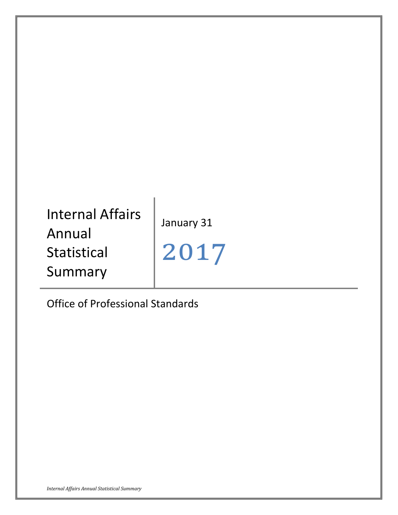# Internal Affairs Annual Statistical Summary

January 31

2017

Office of Professional Standards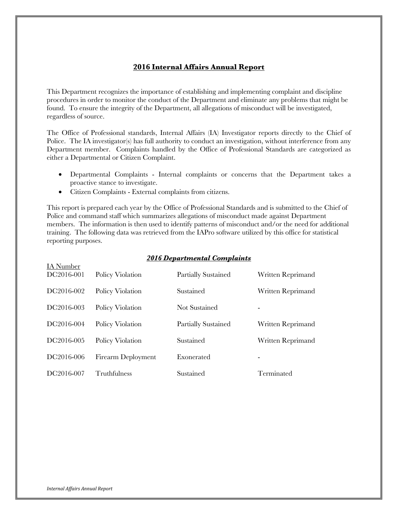## **2016 Internal Affairs Annual Report**

This Department recognizes the importance of establishing and implementing complaint and discipline procedures in order to monitor the conduct of the Department and eliminate any problems that might be found. To ensure the integrity of the Department, all allegations of misconduct will be investigated, regardless of source.

The Office of Professional standards, Internal Affairs (IA) Investigator reports directly to the Chief of Police. The IA investigator(s) has full authority to conduct an investigation, without interference from any Department member. Complaints handled by the Office of Professional Standards are categorized as either a Departmental or Citizen Complaint.

- Departmental Complaints Internal complaints or concerns that the Department takes a proactive stance to investigate.
- Citizen Complaints External complaints from citizens.

This report is prepared each year by the Office of Professional Standards and is submitted to the Chief of Police and command staff which summarizes allegations of misconduct made against Department members. The information is then used to identify patterns of misconduct and/or the need for additional training. The following data was retrieved from the IAPro software utilized by this office for statistical reporting purposes.

#### *2016 Departmental Complaints*

| IA Number<br>DC2016-001 | Policy Violation   | Partially Sustained | Written Reprimand |
|-------------------------|--------------------|---------------------|-------------------|
| DC2016-002              | Policy Violation   | Sustained           | Written Reprimand |
| DC2016-003              | Policy Violation   | Not Sustained       | ۰.                |
| DC2016-004              | Policy Violation   | Partially Sustained | Written Reprimand |
| DC2016-005              | Policy Violation   | Sustained           | Written Reprimand |
| DC2016-006              | Firearm Deployment | Exonerated          | ۰.                |
| DC2016-007              | Truthfulness       | Sustained           | Terminated        |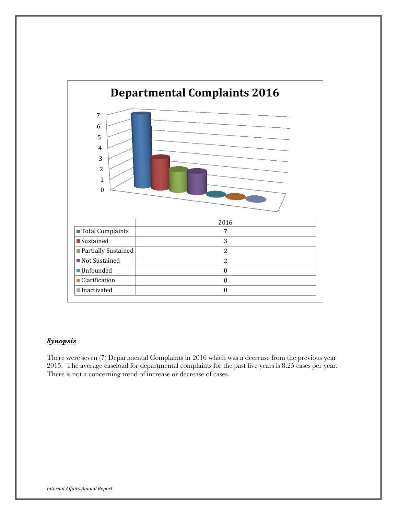

## *Synopsis*

There were seven (7) Departmental Complaints in 2016 which was a decrease from the previous year 2015. The average caseload for departmental complaints for the past five years is 8.25 cases per year. There is not a concerning trend of increase or decrease of cases.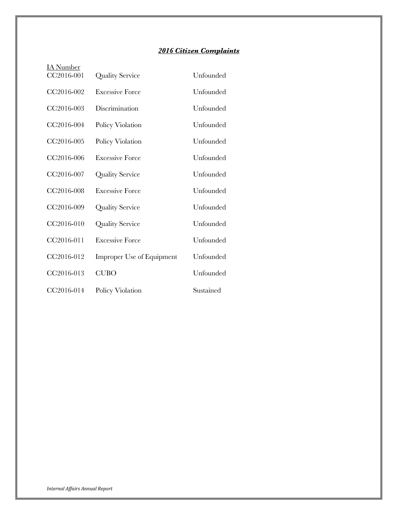## *2016 Citizen Complaints*

| <u>IA Number</u> |                                  |           |
|------------------|----------------------------------|-----------|
| CC2016-001       | Quality Service                  | Unfounded |
| CC2016-002       | <b>Excessive Force</b>           | Unfounded |
| CC2016-003       | Discrimination                   | Unfounded |
| CC2016-004       | Policy Violation                 | Unfounded |
| CC2016-005       | Policy Violation                 | Unfounded |
| CC2016-006       | <b>Excessive Force</b>           | Unfounded |
| CC2016-007       | <b>Quality Service</b>           | Unfounded |
| CC2016-008       | <b>Excessive Force</b>           | Unfounded |
| CC2016-009       | <b>Quality Service</b>           | Unfounded |
| CC2016-010       | Quality Service                  | Unfounded |
| CC2016-011       | <b>Excessive Force</b>           | Unfounded |
| CC2016-012       | <b>Improper Use of Equipment</b> | Unfounded |
| CC2016-013       | <b>CUBO</b>                      | Unfounded |
| CC2016-014       | Policy Violation                 | Sustained |